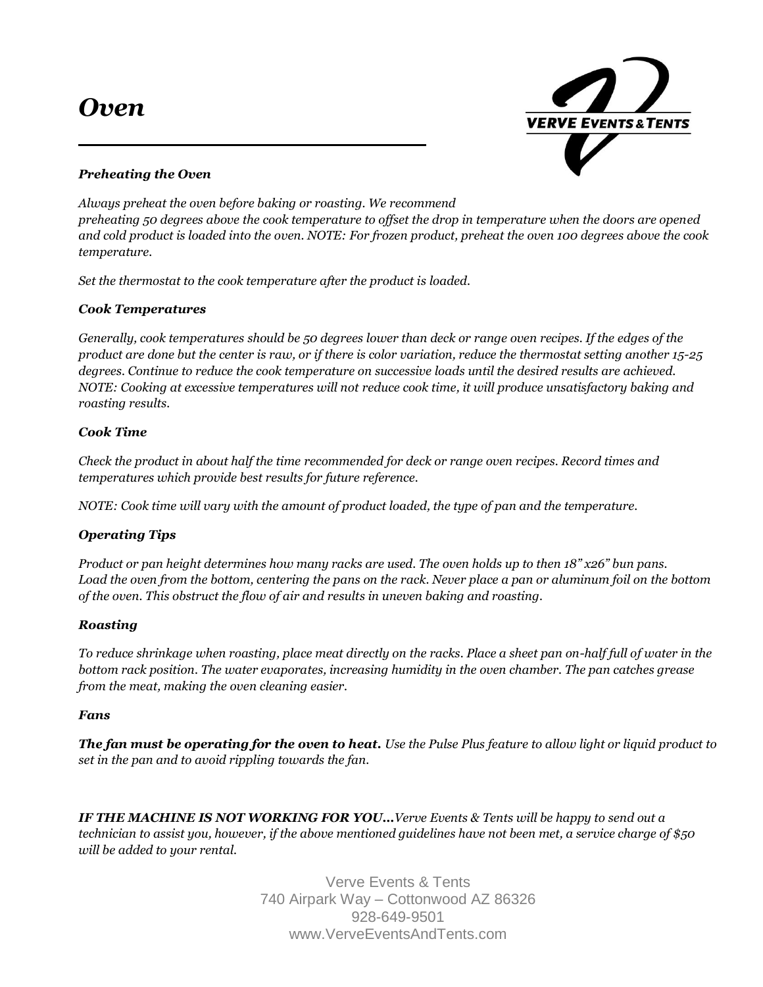# *Oven*



# *Preheating the Oven*

*Always preheat the oven before baking or roasting. We recommend preheating 50 degrees above the cook temperature to offset the drop in temperature when the doors are opened and cold product is loaded into the oven. NOTE: For frozen product, preheat the oven 100 degrees above the cook temperature.* 

*Set the thermostat to the cook temperature after the product is loaded.*

# *Cook Temperatures*

*Generally, cook temperatures should be 50 degrees lower than deck or range oven recipes. If the edges of the product are done but the center is raw, or if there is color variation, reduce the thermostat setting another 15-25 degrees. Continue to reduce the cook temperature on successive loads until the desired results are achieved. NOTE: Cooking at excessive temperatures will not reduce cook time, it will produce unsatisfactory baking and roasting results.* 

### *Cook Time*

*Check the product in about half the time recommended for deck or range oven recipes. Record times and temperatures which provide best results for future reference.* 

*NOTE: Cook time will vary with the amount of product loaded, the type of pan and the temperature.* 

### *Operating Tips*

*Product or pan height determines how many racks are used. The oven holds up to then 18" x26" bun pans. Load the oven from the bottom, centering the pans on the rack. Never place a pan or aluminum foil on the bottom of the oven. This obstruct the flow of air and results in uneven baking and roasting.* 

### *Roasting*

*To reduce shrinkage when roasting, place meat directly on the racks. Place a sheet pan on-half full of water in the bottom rack position. The water evaporates, increasing humidity in the oven chamber. The pan catches grease from the meat, making the oven cleaning easier.* 

### *Fans*

*The fan must be operating for the oven to heat. Use the Pulse Plus feature to allow light or liquid product to set in the pan and to avoid rippling towards the fan.* 

*IF THE MACHINE IS NOT WORKING FOR YOU…Verve Events & Tents will be happy to send out a technician to assist you, however, if the above mentioned guidelines have not been met, a service charge of \$50 will be added to your rental.*

> Verve Events & Tents 740 Airpark Way – Cottonwood AZ 86326 928-649-9501 www.VerveEventsAndTents.com